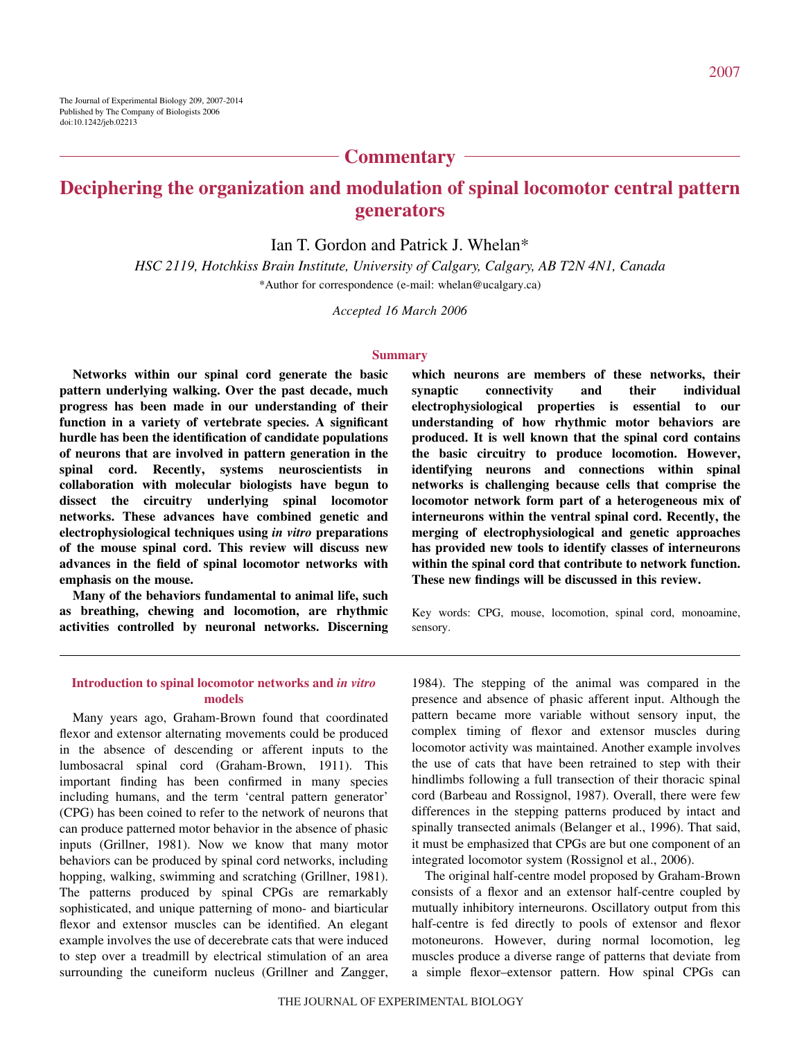## **Commentary**

# **Deciphering the organization and modulation of spinal locomotor central pattern generators**

Ian T. Gordon and Patrick J. Whelan\*

*HSC 2119, Hotchkiss Brain Institute, University of Calgary, Calgary, AB T2N 4N1, Canada* \*Author for correspondence (e-mail: whelan@ucalgary.ca)

*Accepted 16 March 2006*

#### **Summary**

**Networks within our spinal cord generate the basic pattern underlying walking. Over the past decade, much progress has been made in our understanding of their function in a variety of vertebrate species. A significant hurdle has been the identification of candidate populations of neurons that are involved in pattern generation in the spinal cord. Recently, systems neuroscientists in collaboration with molecular biologists have begun to dissect the circuitry underlying spinal locomotor networks. These advances have combined genetic and electrophysiological techniques using** *in vitro* **preparations of the mouse spinal cord. This review will discuss new advances in the field of spinal locomotor networks with emphasis on the mouse.**

**Many of the behaviors fundamental to animal life, such as breathing, chewing and locomotion, are rhythmic activities controlled by neuronal networks. Discerning**

**which neurons are members of these networks, their synaptic connectivity and their individual electrophysiological properties is essential to our understanding of how rhythmic motor behaviors are produced. It is well known that the spinal cord contains the basic circuitry to produce locomotion. However, identifying neurons and connections within spinal networks is challenging because cells that comprise the locomotor network form part of a heterogeneous mix of interneurons within the ventral spinal cord. Recently, the merging of electrophysiological and genetic approaches has provided new tools to identify classes of interneurons within the spinal cord that contribute to network function. These new findings will be discussed in this review.**

Key words: CPG, mouse, locomotion, spinal cord, monoamine, sensory.

#### **Introduction to spinal locomotor networks and** *in vitro* **models**

Many years ago, Graham-Brown found that coordinated flexor and extensor alternating movements could be produced in the absence of descending or afferent inputs to the lumbosacral spinal cord (Graham-Brown, 1911). This important finding has been confirmed in many species including humans, and the term 'central pattern generator' (CPG) has been coined to refer to the network of neurons that can produce patterned motor behavior in the absence of phasic inputs (Grillner, 1981). Now we know that many motor behaviors can be produced by spinal cord networks, including hopping, walking, swimming and scratching (Grillner, 1981). The patterns produced by spinal CPGs are remarkably sophisticated, and unique patterning of mono- and biarticular flexor and extensor muscles can be identified. An elegant example involves the use of decerebrate cats that were induced to step over a treadmill by electrical stimulation of an area surrounding the cuneiform nucleus (Grillner and Zangger,

1984). The stepping of the animal was compared in the presence and absence of phasic afferent input. Although the pattern became more variable without sensory input, the complex timing of flexor and extensor muscles during locomotor activity was maintained. Another example involves the use of cats that have been retrained to step with their hindlimbs following a full transection of their thoracic spinal cord (Barbeau and Rossignol, 1987). Overall, there were few differences in the stepping patterns produced by intact and spinally transected animals (Belanger et al., 1996). That said, it must be emphasized that CPGs are but one component of an integrated locomotor system (Rossignol et al., 2006).

The original half-centre model proposed by Graham-Brown consists of a flexor and an extensor half-centre coupled by mutually inhibitory interneurons. Oscillatory output from this half-centre is fed directly to pools of extensor and flexor motoneurons. However, during normal locomotion, leg muscles produce a diverse range of patterns that deviate from a simple flexor–extensor pattern. How spinal CPGs can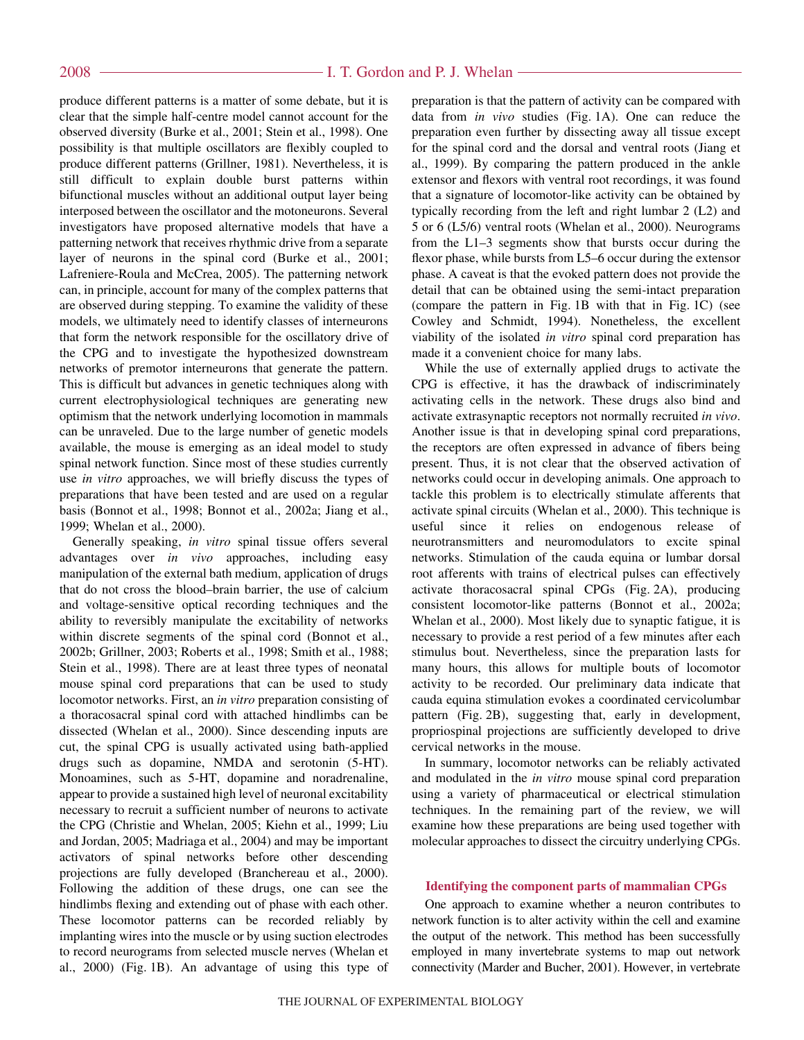produce different patterns is a matter of some debate, but it is clear that the simple half-centre model cannot account for the observed diversity (Burke et al., 2001; Stein et al., 1998). One possibility is that multiple oscillators are flexibly coupled to produce different patterns (Grillner, 1981). Nevertheless, it is still difficult to explain double burst patterns within bifunctional muscles without an additional output layer being interposed between the oscillator and the motoneurons. Several investigators have proposed alternative models that have a patterning network that receives rhythmic drive from a separate layer of neurons in the spinal cord (Burke et al., 2001; Lafreniere-Roula and McCrea, 2005). The patterning network can, in principle, account for many of the complex patterns that are observed during stepping. To examine the validity of these models, we ultimately need to identify classes of interneurons that form the network responsible for the oscillatory drive of the CPG and to investigate the hypothesized downstream networks of premotor interneurons that generate the pattern. This is difficult but advances in genetic techniques along with current electrophysiological techniques are generating new optimism that the network underlying locomotion in mammals can be unraveled. Due to the large number of genetic models available, the mouse is emerging as an ideal model to study spinal network function. Since most of these studies currently use *in vitro* approaches, we will briefly discuss the types of preparations that have been tested and are used on a regular basis (Bonnot et al., 1998; Bonnot et al., 2002a; Jiang et al., 1999; Whelan et al., 2000).

Generally speaking, *in vitro* spinal tissue offers several advantages over *in vivo* approaches, including easy manipulation of the external bath medium, application of drugs that do not cross the blood–brain barrier, the use of calcium and voltage-sensitive optical recording techniques and the ability to reversibly manipulate the excitability of networks within discrete segments of the spinal cord (Bonnot et al., 2002b; Grillner, 2003; Roberts et al., 1998; Smith et al., 1988; Stein et al., 1998). There are at least three types of neonatal mouse spinal cord preparations that can be used to study locomotor networks. First, an *in vitro* preparation consisting of a thoracosacral spinal cord with attached hindlimbs can be dissected (Whelan et al., 2000). Since descending inputs are cut, the spinal CPG is usually activated using bath-applied drugs such as dopamine, NMDA and serotonin (5-HT). Monoamines, such as 5-HT, dopamine and noradrenaline, appear to provide a sustained high level of neuronal excitability necessary to recruit a sufficient number of neurons to activate the CPG (Christie and Whelan, 2005; Kiehn et al., 1999; Liu and Jordan, 2005; Madriaga et al., 2004) and may be important activators of spinal networks before other descending projections are fully developed (Branchereau et al., 2000). Following the addition of these drugs, one can see the hindlimbs flexing and extending out of phase with each other. These locomotor patterns can be recorded reliably by implanting wires into the muscle or by using suction electrodes to record neurograms from selected muscle nerves (Whelan et al., 2000) (Fig. 1B). An advantage of using this type of

preparation is that the pattern of activity can be compared with data from *in vivo* studies (Fig. 1A). One can reduce the preparation even further by dissecting away all tissue except for the spinal cord and the dorsal and ventral roots (Jiang et al., 1999). By comparing the pattern produced in the ankle extensor and flexors with ventral root recordings, it was found that a signature of locomotor-like activity can be obtained by typically recording from the left and right lumbar 2 (L2) and 5 or 6 (L5/6) ventral roots (Whelan et al., 2000). Neurograms from the L1–3 segments show that bursts occur during the flexor phase, while bursts from L5–6 occur during the extensor phase. A caveat is that the evoked pattern does not provide the detail that can be obtained using the semi-intact preparation (compare the pattern in Fig.  $1B$  with that in Fig.  $1C$ ) (see Cowley and Schmidt, 1994). Nonetheless, the excellent viability of the isolated *in vitro* spinal cord preparation has made it a convenient choice for many labs.

While the use of externally applied drugs to activate the CPG is effective, it has the drawback of indiscriminately activating cells in the network. These drugs also bind and activate extrasynaptic receptors not normally recruited *in vivo*. Another issue is that in developing spinal cord preparations, the receptors are often expressed in advance of fibers being present. Thus, it is not clear that the observed activation of networks could occur in developing animals. One approach to tackle this problem is to electrically stimulate afferents that activate spinal circuits (Whelan et al., 2000). This technique is useful since it relies on endogenous release of neurotransmitters and neuromodulators to excite spinal networks. Stimulation of the cauda equina or lumbar dorsal root afferents with trains of electrical pulses can effectively activate thoracosacral spinal CPGs (Fig. 2A), producing consistent locomotor-like patterns (Bonnot et al., 2002a; Whelan et al., 2000). Most likely due to synaptic fatigue, it is necessary to provide a rest period of a few minutes after each stimulus bout. Nevertheless, since the preparation lasts for many hours, this allows for multiple bouts of locomotor activity to be recorded. Our preliminary data indicate that cauda equina stimulation evokes a coordinated cervicolumbar pattern (Fig. 2B), suggesting that, early in development, propriospinal projections are sufficiently developed to drive cervical networks in the mouse.

In summary, locomotor networks can be reliably activated and modulated in the *in vitro* mouse spinal cord preparation using a variety of pharmaceutical or electrical stimulation techniques. In the remaining part of the review, we will examine how these preparations are being used together with molecular approaches to dissect the circuitry underlying CPGs.

#### **Identifying the component parts of mammalian CPGs**

One approach to examine whether a neuron contributes to network function is to alter activity within the cell and examine the output of the network. This method has been successfully employed in many invertebrate systems to map out network connectivity (Marder and Bucher, 2001). However, in vertebrate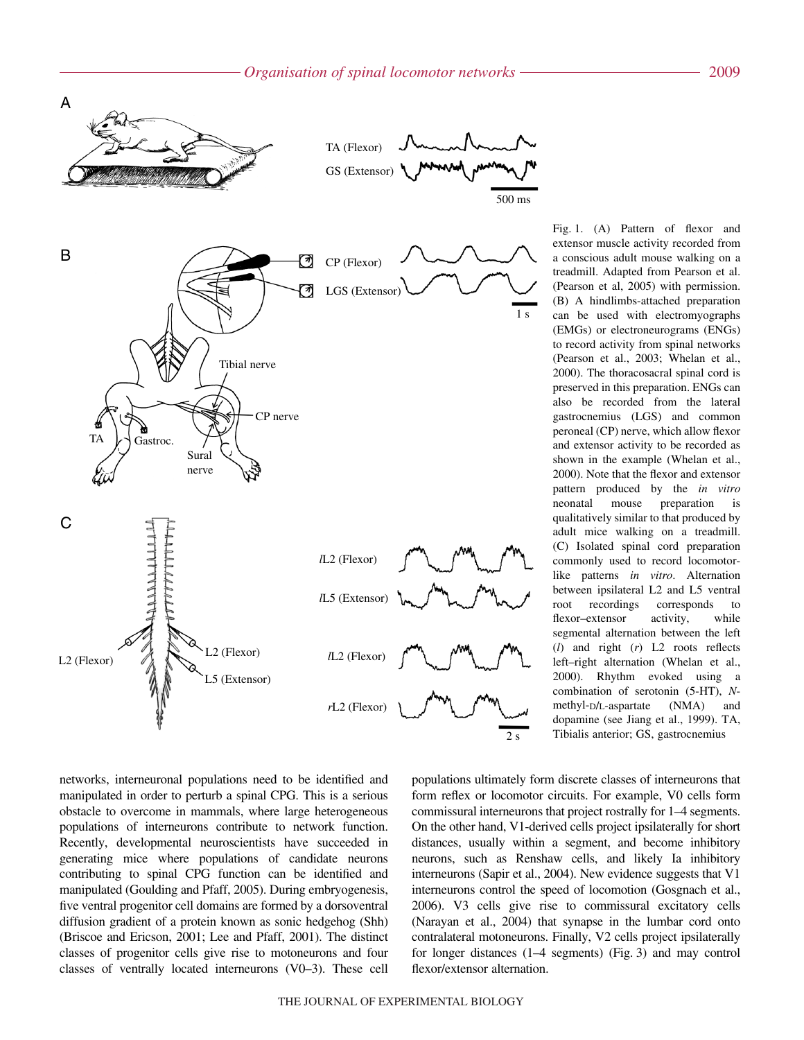

Fig. 1. (A) Pattern of flexor and extensor muscle activity recorded from a conscious adult mouse walking on a treadmill. Adapted from Pearson et al. (Pearson et al, 2005) with permission. (B) A hindlimbs-attached preparation can be used with electromyographs (EMGs) or electroneurograms (ENGs) to record activity from spinal networks (Pearson et al., 2003; Whelan et al., 2000). The thoracosacral spinal cord is preserved in this preparation. ENGs can also be recorded from the lateral gastrocnemius (LGS) and common peroneal (CP) nerve, which allow flexor and extensor activity to be recorded as shown in the example (Whelan et al., 2000). Note that the flexor and extensor pattern produced by the *in vitro* neonatal mouse preparation is qualitatively similar to that produced by adult mice walking on a treadmill. (C) Isolated spinal cord preparation commonly used to record locomotorlike patterns *in vitro*. Alternation between ipsilateral L2 and L5 ventral root recordings corresponds to flexor–extensor activity, while segmental alternation between the left (*l*) and right (*r*) L2 roots reflects left–right alternation (Whelan et al., 2000). Rhythm evoked using a combination of serotonin (5-HT), *N*methyl-D/L-aspartate (NMA) and dopamine (see Jiang et al., 1999). TA, Tibialis anterior; GS, gastrocnemius

networks, interneuronal populations need to be identified and manipulated in order to perturb a spinal CPG. This is a serious obstacle to overcome in mammals, where large heterogeneous populations of interneurons contribute to network function. Recently, developmental neuroscientists have succeeded in generating mice where populations of candidate neurons contributing to spinal CPG function can be identified and manipulated (Goulding and Pfaff, 2005). During embryogenesis, five ventral progenitor cell domains are formed by a dorsoventral diffusion gradient of a protein known as sonic hedgehog (Shh) (Briscoe and Ericson, 2001; Lee and Pfaff, 2001). The distinct classes of progenitor cells give rise to motoneurons and four classes of ventrally located interneurons (V0–3). These cell

populations ultimately form discrete classes of interneurons that form reflex or locomotor circuits. For example, V0 cells form commissural interneurons that project rostrally for 1–4 segments. On the other hand, V1-derived cells project ipsilaterally for short distances, usually within a segment, and become inhibitory neurons, such as Renshaw cells, and likely Ia inhibitory interneurons (Sapir et al., 2004). New evidence suggests that V1 interneurons control the speed of locomotion (Gosgnach et al., 2006). V3 cells give rise to commissural excitatory cells (Narayan et al., 2004) that synapse in the lumbar cord onto contralateral motoneurons. Finally, V2 cells project ipsilaterally for longer distances  $(1-4$  segments) (Fig. 3) and may control flexor/extensor alternation.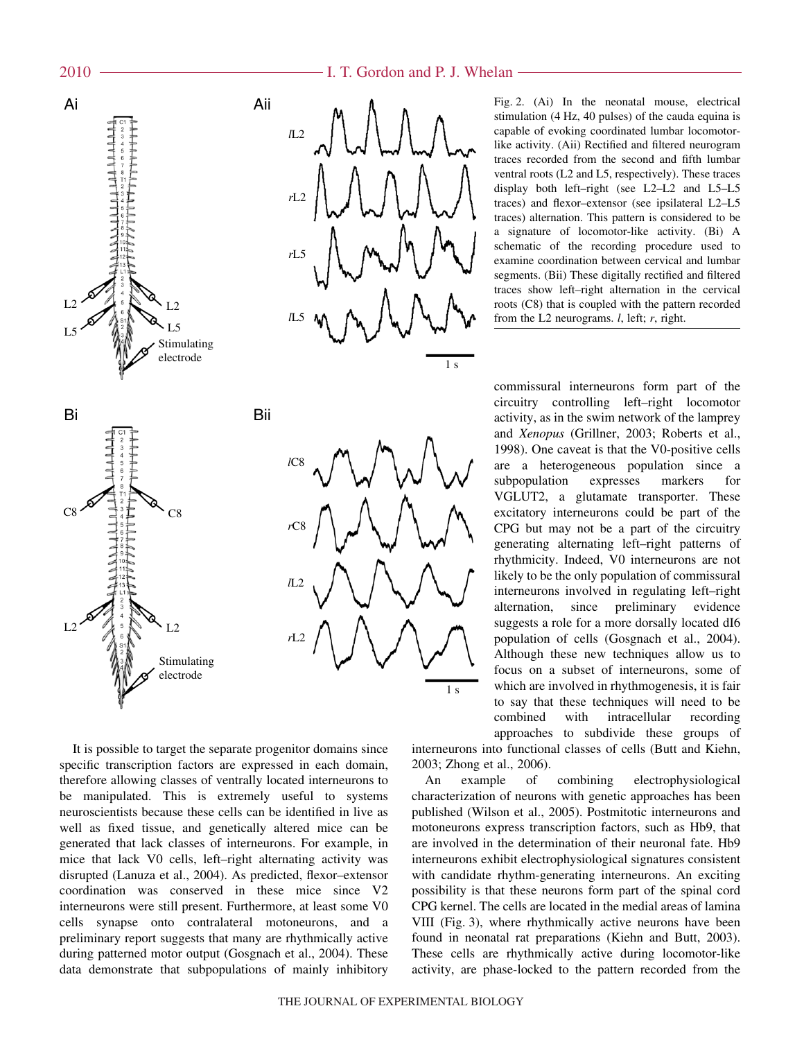

It is possible to target the separate progenitor domains since specific transcription factors are expressed in each domain, therefore allowing classes of ventrally located interneurons to be manipulated. This is extremely useful to systems neuroscientists because these cells can be identified in live as well as fixed tissue, and genetically altered mice can be generated that lack classes of interneurons. For example, in mice that lack V0 cells, left–right alternating activity was disrupted (Lanuza et al., 2004). As predicted, flexor–extensor coordination was conserved in these mice since V2 interneurons were still present. Furthermore, at least some V0 cells synapse onto contralateral motoneurons, and a preliminary report suggests that many are rhythmically active during patterned motor output (Gosgnach et al., 2004). These data demonstrate that subpopulations of mainly inhibitory

I. T. Gordon and P. J. Whelan

Fig. 2. (Ai) In the neonatal mouse, electrical stimulation (4 Hz, 40 pulses) of the cauda equina is capable of evoking coordinated lumbar locomotorlike activity. (Aii) Rectified and filtered neurogram traces recorded from the second and fifth lumbar ventral roots (L2 and L5, respectively). These traces display both left–right (see L2–L2 and L5–L5 traces) and flexor–extensor (see ipsilateral L2–L5 traces) alternation. This pattern is considered to be a signature of locomotor-like activity. (Bi) A schematic of the recording procedure used to examine coordination between cervical and lumbar segments. (Bii) These digitally rectified and filtered traces show left–right alternation in the cervical roots (C8) that is coupled with the pattern recorded from the L2 neurograms. *l*, left; *r*, right.

commissural interneurons form part of the circuitry controlling left–right locomotor activity, as in the swim network of the lamprey and *Xenopus* (Grillner, 2003; Roberts et al., 1998). One caveat is that the V0-positive cells are a heterogeneous population since a subpopulation expresses markers for VGLUT2, a glutamate transporter. These excitatory interneurons could be part of the CPG but may not be a part of the circuitry generating alternating left–right patterns of rhythmicity. Indeed, V0 interneurons are not likely to be the only population of commissural interneurons involved in regulating left–right alternation, since preliminary evidence suggests a role for a more dorsally located dI6 population of cells (Gosgnach et al., 2004). Although these new techniques allow us to focus on a subset of interneurons, some of which are involved in rhythmogenesis, it is fair to say that these techniques will need to be combined with intracellular recording approaches to subdivide these groups of

interneurons into functional classes of cells (Butt and Kiehn, 2003; Zhong et al., 2006).

An example of combining electrophysiological characterization of neurons with genetic approaches has been published (Wilson et al., 2005). Postmitotic interneurons and motoneurons express transcription factors, such as Hb9, that are involved in the determination of their neuronal fate. Hb9 interneurons exhibit electrophysiological signatures consistent with candidate rhythm-generating interneurons. An exciting possibility is that these neurons form part of the spinal cord CPG kernel. The cells are located in the medial areas of lamina VIII (Fig. 3), where rhythmically active neurons have been found in neonatal rat preparations (Kiehn and Butt, 2003). These cells are rhythmically active during locomotor-like activity, are phase-locked to the pattern recorded from the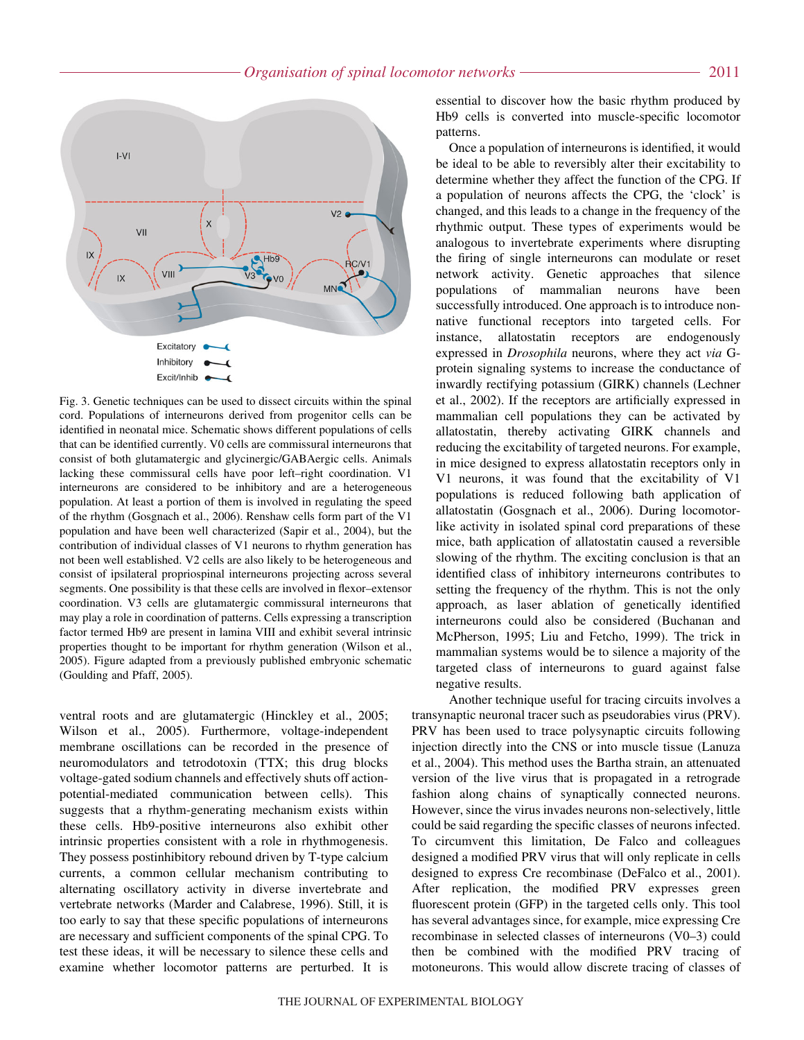

Fig. 3. Genetic techniques can be used to dissect circuits within the spinal cord. Populations of interneurons derived from progenitor cells can be identified in neonatal mice. Schematic shows different populations of cells that can be identified currently. V0 cells are commissural interneurons that consist of both glutamatergic and glycinergic/GABAergic cells. Animals lacking these commissural cells have poor left–right coordination. V1 interneurons are considered to be inhibitory and are a heterogeneous population. At least a portion of them is involved in regulating the speed of the rhythm (Gosgnach et al., 2006). Renshaw cells form part of the V1 population and have been well characterized (Sapir et al., 2004), but the contribution of individual classes of V1 neurons to rhythm generation has not been well established. V2 cells are also likely to be heterogeneous and consist of ipsilateral propriospinal interneurons projecting across several segments. One possibility is that these cells are involved in flexor–extensor coordination. V3 cells are glutamatergic commissural interneurons that may play a role in coordination of patterns. Cells expressing a transcription factor termed Hb9 are present in lamina VIII and exhibit several intrinsic properties thought to be important for rhythm generation (Wilson et al., 2005). Figure adapted from a previously published embryonic schematic (Goulding and Pfaff, 2005).

ventral roots and are glutamatergic (Hinckley et al., 2005; Wilson et al., 2005). Furthermore, voltage-independent membrane oscillations can be recorded in the presence of neuromodulators and tetrodotoxin (TTX; this drug blocks voltage-gated sodium channels and effectively shuts off actionpotential-mediated communication between cells). This suggests that a rhythm-generating mechanism exists within these cells. Hb9-positive interneurons also exhibit other intrinsic properties consistent with a role in rhythmogenesis. They possess postinhibitory rebound driven by T-type calcium currents, a common cellular mechanism contributing to alternating oscillatory activity in diverse invertebrate and vertebrate networks (Marder and Calabrese, 1996). Still, it is too early to say that these specific populations of interneurons are necessary and sufficient components of the spinal CPG. To test these ideas, it will be necessary to silence these cells and examine whether locomotor patterns are perturbed. It is

essential to discover how the basic rhythm produced by Hb9 cells is converted into muscle-specific locomotor patterns.

Once a population of interneurons is identified, it would be ideal to be able to reversibly alter their excitability to determine whether they affect the function of the CPG. If a population of neurons affects the CPG, the 'clock' is changed, and this leads to a change in the frequency of the rhythmic output. These types of experiments would be analogous to invertebrate experiments where disrupting the firing of single interneurons can modulate or reset network activity. Genetic approaches that silence populations of mammalian neurons have been successfully introduced. One approach is to introduce nonnative functional receptors into targeted cells. For instance, allatostatin receptors are endogenously expressed in *Drosophila* neurons, where they act *via* Gprotein signaling systems to increase the conductance of inwardly rectifying potassium (GIRK) channels (Lechner et al., 2002). If the receptors are artificially expressed in mammalian cell populations they can be activated by allatostatin, thereby activating GIRK channels and reducing the excitability of targeted neurons. For example, in mice designed to express allatostatin receptors only in V1 neurons, it was found that the excitability of V1 populations is reduced following bath application of allatostatin (Gosgnach et al., 2006). During locomotorlike activity in isolated spinal cord preparations of these mice, bath application of allatostatin caused a reversible slowing of the rhythm. The exciting conclusion is that an identified class of inhibitory interneurons contributes to setting the frequency of the rhythm. This is not the only approach, as laser ablation of genetically identified interneurons could also be considered (Buchanan and McPherson, 1995; Liu and Fetcho, 1999). The trick in mammalian systems would be to silence a majority of the targeted class of interneurons to guard against false negative results.

Another technique useful for tracing circuits involves a transynaptic neuronal tracer such as pseudorabies virus (PRV). PRV has been used to trace polysynaptic circuits following injection directly into the CNS or into muscle tissue (Lanuza et al., 2004). This method uses the Bartha strain, an attenuated version of the live virus that is propagated in a retrograde fashion along chains of synaptically connected neurons. However, since the virus invades neurons non-selectively, little could be said regarding the specific classes of neurons infected. To circumvent this limitation, De Falco and colleagues designed a modified PRV virus that will only replicate in cells designed to express Cre recombinase (DeFalco et al., 2001). After replication, the modified PRV expresses green fluorescent protein (GFP) in the targeted cells only. This tool has several advantages since, for example, mice expressing Cre recombinase in selected classes of interneurons (V0–3) could then be combined with the modified PRV tracing of motoneurons. This would allow discrete tracing of classes of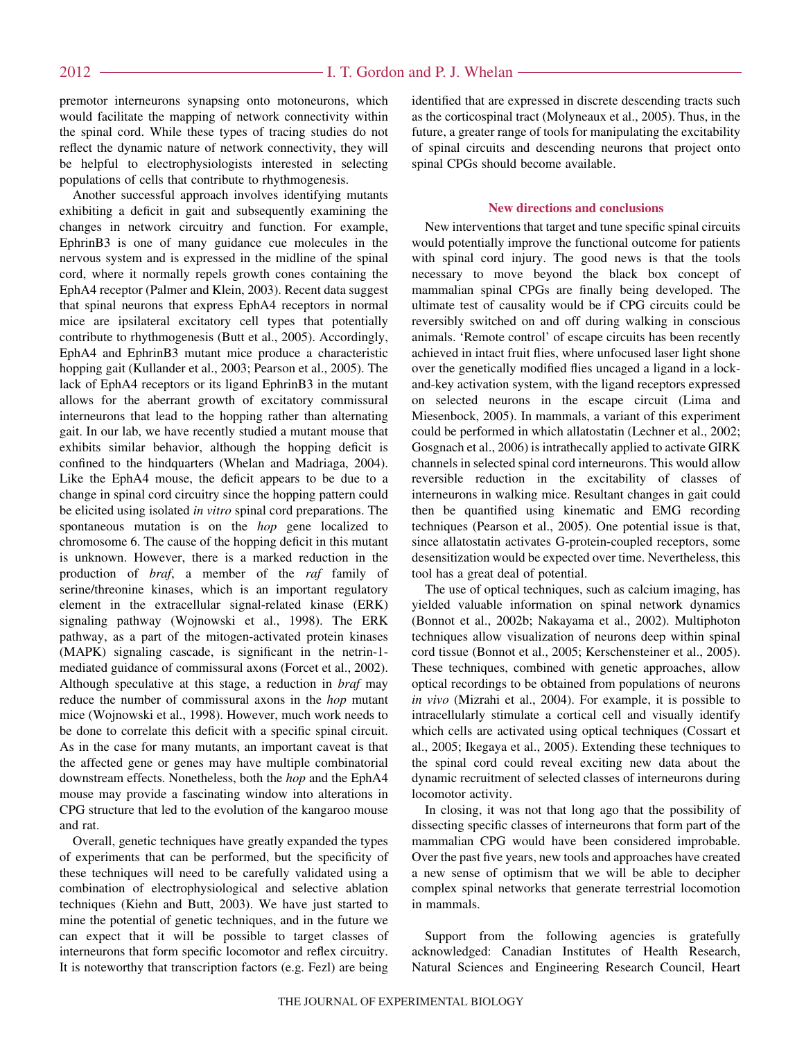### I. T. Gordon and P. J. Whelan

premotor interneurons synapsing onto motoneurons, which would facilitate the mapping of network connectivity within the spinal cord. While these types of tracing studies do not reflect the dynamic nature of network connectivity, they will be helpful to electrophysiologists interested in selecting populations of cells that contribute to rhythmogenesis.

Another successful approach involves identifying mutants exhibiting a deficit in gait and subsequently examining the changes in network circuitry and function. For example, EphrinB3 is one of many guidance cue molecules in the nervous system and is expressed in the midline of the spinal cord, where it normally repels growth cones containing the EphA4 receptor (Palmer and Klein, 2003). Recent data suggest that spinal neurons that express EphA4 receptors in normal mice are ipsilateral excitatory cell types that potentially contribute to rhythmogenesis (Butt et al., 2005). Accordingly, EphA4 and EphrinB3 mutant mice produce a characteristic hopping gait (Kullander et al., 2003; Pearson et al., 2005). The lack of EphA4 receptors or its ligand EphrinB3 in the mutant allows for the aberrant growth of excitatory commissural interneurons that lead to the hopping rather than alternating gait. In our lab, we have recently studied a mutant mouse that exhibits similar behavior, although the hopping deficit is confined to the hindquarters (Whelan and Madriaga, 2004). Like the EphA4 mouse, the deficit appears to be due to a change in spinal cord circuitry since the hopping pattern could be elicited using isolated *in vitro* spinal cord preparations. The spontaneous mutation is on the *hop* gene localized to chromosome 6. The cause of the hopping deficit in this mutant is unknown. However, there is a marked reduction in the production of *braf*, a member of the *raf* family of serine/threonine kinases, which is an important regulatory element in the extracellular signal-related kinase (ERK) signaling pathway (Wojnowski et al., 1998). The ERK pathway, as a part of the mitogen-activated protein kinases (MAPK) signaling cascade, is significant in the netrin-1 mediated guidance of commissural axons (Forcet et al., 2002). Although speculative at this stage, a reduction in *braf* may reduce the number of commissural axons in the *hop* mutant mice (Wojnowski et al., 1998). However, much work needs to be done to correlate this deficit with a specific spinal circuit. As in the case for many mutants, an important caveat is that the affected gene or genes may have multiple combinatorial downstream effects. Nonetheless, both the *hop* and the EphA4 mouse may provide a fascinating window into alterations in CPG structure that led to the evolution of the kangaroo mouse and rat.

Overall, genetic techniques have greatly expanded the types of experiments that can be performed, but the specificity of these techniques will need to be carefully validated using a combination of electrophysiological and selective ablation techniques (Kiehn and Butt, 2003). We have just started to mine the potential of genetic techniques, and in the future we can expect that it will be possible to target classes of interneurons that form specific locomotor and reflex circuitry. It is noteworthy that transcription factors (e.g. Fezl) are being

identified that are expressed in discrete descending tracts such as the corticospinal tract (Molyneaux et al., 2005). Thus, in the future, a greater range of tools for manipulating the excitability of spinal circuits and descending neurons that project onto spinal CPGs should become available.

#### **New directions and conclusions**

New interventions that target and tune specific spinal circuits would potentially improve the functional outcome for patients with spinal cord injury. The good news is that the tools necessary to move beyond the black box concept of mammalian spinal CPGs are finally being developed. The ultimate test of causality would be if CPG circuits could be reversibly switched on and off during walking in conscious animals. 'Remote control' of escape circuits has been recently achieved in intact fruit flies, where unfocused laser light shone over the genetically modified flies uncaged a ligand in a lockand-key activation system, with the ligand receptors expressed on selected neurons in the escape circuit (Lima and Miesenbock, 2005). In mammals, a variant of this experiment could be performed in which allatostatin (Lechner et al., 2002; Gosgnach et al., 2006) is intrathecally applied to activate GIRK channels in selected spinal cord interneurons. This would allow reversible reduction in the excitability of classes of interneurons in walking mice. Resultant changes in gait could then be quantified using kinematic and EMG recording techniques (Pearson et al., 2005). One potential issue is that, since allatostatin activates G-protein-coupled receptors, some desensitization would be expected over time. Nevertheless, this tool has a great deal of potential.

The use of optical techniques, such as calcium imaging, has yielded valuable information on spinal network dynamics (Bonnot et al., 2002b; Nakayama et al., 2002). Multiphoton techniques allow visualization of neurons deep within spinal cord tissue (Bonnot et al., 2005; Kerschensteiner et al., 2005). These techniques, combined with genetic approaches, allow optical recordings to be obtained from populations of neurons *in vivo* (Mizrahi et al., 2004). For example, it is possible to intracellularly stimulate a cortical cell and visually identify which cells are activated using optical techniques (Cossart et al., 2005; Ikegaya et al., 2005). Extending these techniques to the spinal cord could reveal exciting new data about the dynamic recruitment of selected classes of interneurons during locomotor activity.

In closing, it was not that long ago that the possibility of dissecting specific classes of interneurons that form part of the mammalian CPG would have been considered improbable. Over the past five years, new tools and approaches have created a new sense of optimism that we will be able to decipher complex spinal networks that generate terrestrial locomotion in mammals.

Support from the following agencies is gratefully acknowledged: Canadian Institutes of Health Research, Natural Sciences and Engineering Research Council, Heart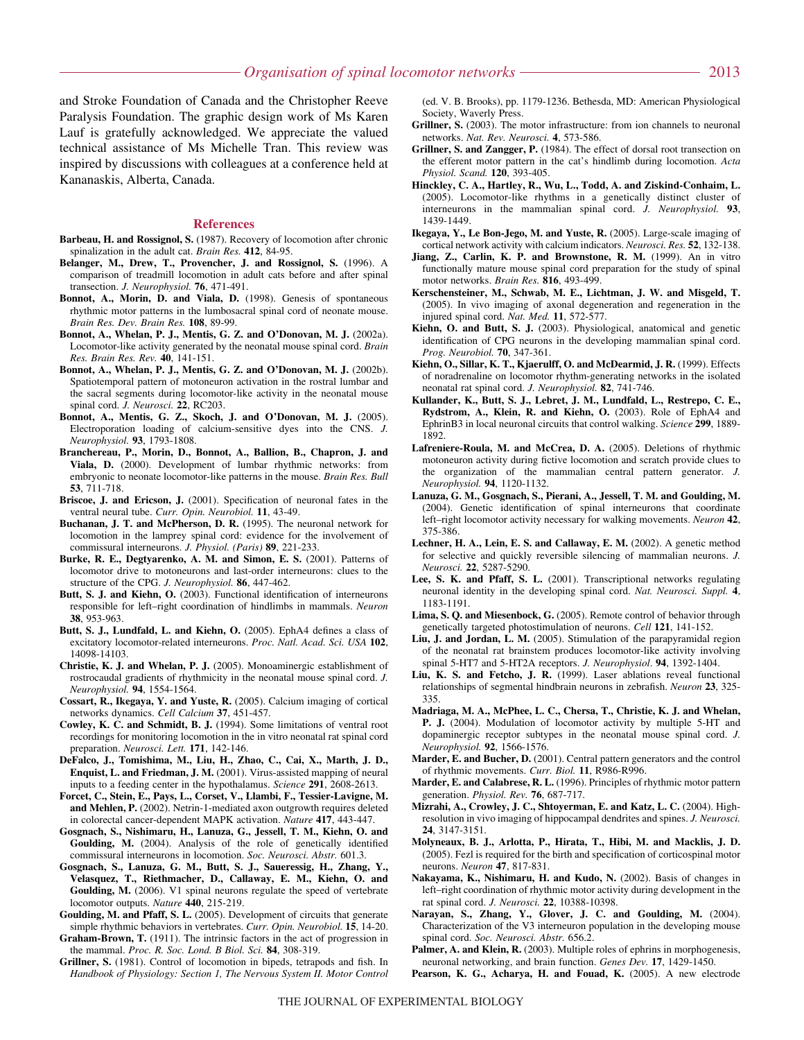and Stroke Foundation of Canada and the Christopher Reeve Paralysis Foundation. The graphic design work of Ms Karen Lauf is gratefully acknowledged. We appreciate the valued technical assistance of Ms Michelle Tran. This review was inspired by discussions with colleagues at a conference held at Kananaskis, Alberta, Canada.

#### **References**

- **Barbeau, H. and Rossignol, S.** (1987). Recovery of locomotion after chronic spinalization in the adult cat. *Brain Res.* **412**, 84-95.
- **Belanger, M., Drew, T., Provencher, J. and Rossignol, S.** (1996). A comparison of treadmill locomotion in adult cats before and after spinal transection. *J. Neurophysiol.* **76**, 471-491.
- **Bonnot, A., Morin, D. and Viala, D.** (1998). Genesis of spontaneous rhythmic motor patterns in the lumbosacral spinal cord of neonate mouse. *Brain Res. Dev. Brain Res.* **108**, 89-99.
- **Bonnot, A., Whelan, P. J., Mentis, G. Z. and O'Donovan, M. J.** (2002a). Locomotor-like activity generated by the neonatal mouse spinal cord. *Brain Res. Brain Res. Rev.* **40**, 141-151.
- **Bonnot, A., Whelan, P. J., Mentis, G. Z. and O'Donovan, M. J.** (2002b). Spatiotemporal pattern of motoneuron activation in the rostral lumbar and the sacral segments during locomotor-like activity in the neonatal mouse spinal cord. *J. Neurosci.* **22**, RC203.
- **Bonnot, A., Mentis, G. Z., Skoch, J. and O'Donovan, M. J.** (2005). Electroporation loading of calcium-sensitive dyes into the CNS. *J. Neurophysiol.* **93**, 1793-1808.
- **Branchereau, P., Morin, D., Bonnot, A., Ballion, B., Chapron, J. and Viala, D.** (2000). Development of lumbar rhythmic networks: from embryonic to neonate locomotor-like patterns in the mouse. *Brain Res. Bull* **53**, 711-718.
- **Briscoe, J. and Ericson, J.** (2001). Specification of neuronal fates in the ventral neural tube. *Curr. Opin. Neurobiol.* **11**, 43-49.
- **Buchanan, J. T. and McPherson, D. R.** (1995). The neuronal network for locomotion in the lamprey spinal cord: evidence for the involvement of commissural interneurons. *J. Physiol. (Paris)* **89**, 221-233.
- **Burke, R. E., Degtyarenko, A. M. and Simon, E. S.** (2001). Patterns of locomotor drive to motoneurons and last-order interneurons: clues to the structure of the CPG. *J. Neurophysiol.* **86**, 447-462.
- **Butt, S. J. and Kiehn, O.** (2003). Functional identification of interneurons responsible for left–right coordination of hindlimbs in mammals. *Neuron* **38**, 953-963.
- **Butt, S. J., Lundfald, L. and Kiehn, O.** (2005). EphA4 defines a class of excitatory locomotor-related interneurons. *Proc. Natl. Acad. Sci. USA* **102**, 14098-14103.
- **Christie, K. J. and Whelan, P. J.** (2005). Monoaminergic establishment of rostrocaudal gradients of rhythmicity in the neonatal mouse spinal cord. *J. Neurophysiol.* **94**, 1554-1564.
- **Cossart, R., Ikegaya, Y. and Yuste, R.** (2005). Calcium imaging of cortical networks dynamics. *Cell Calcium* **37**, 451-457.
- **Cowley, K. C. and Schmidt, B. J.** (1994). Some limitations of ventral root recordings for monitoring locomotion in the in vitro neonatal rat spinal cord preparation. *Neurosci. Lett.* **171**, 142-146.
- **DeFalco, J., Tomishima, M., Liu, H., Zhao, C., Cai, X., Marth, J. D., Enquist, L. and Friedman, J. M.** (2001). Virus-assisted mapping of neural inputs to a feeding center in the hypothalamus. *Science* **291**, 2608-2613.
- **Forcet, C., Stein, E., Pays, L., Corset, V., Llambi, F., Tessier-Lavigne, M. and Mehlen, P.** (2002). Netrin-1-mediated axon outgrowth requires deleted in colorectal cancer-dependent MAPK activation. *Nature* **417**, 443-447.
- **Gosgnach, S., Nishimaru, H., Lanuza, G., Jessell, T. M., Kiehn, O. and Goulding, M.** (2004). Analysis of the role of genetically identified commissural interneurons in locomotion. *Soc. Neurosci. Abstr.* 601.3.
- **Gosgnach, S., Lanuza, G. M., Butt, S. J., Saueressig, H., Zhang, Y., Velasquez, T., Riethmacher, D., Callaway, E. M., Kiehn, O. and Goulding, M.** (2006). V1 spinal neurons regulate the speed of vertebrate locomotor outputs. *Nature* **440**, 215-219.
- **Goulding, M. and Pfaff, S. L.** (2005). Development of circuits that generate simple rhythmic behaviors in vertebrates. *Curr. Opin. Neurobiol.* **15**, 14-20.
- **Graham-Brown, T.** (1911). The intrinsic factors in the act of progression in the mammal. *Proc. R. Soc. Lond. B Biol. Sci.* **84**, 308-319.
- **Grillner, S.** (1981). Control of locomotion in bipeds, tetrapods and fish. In *Handbook of Physiology: Section 1, The Nervous System II. Motor Control*

(ed. V. B. Brooks), pp. 1179-1236. Bethesda, MD: American Physiological Society, Waverly Press.

- **Grillner, S.** (2003). The motor infrastructure: from ion channels to neuronal networks. *Nat. Rev. Neurosci.* **4**, 573-586.
- **Grillner, S. and Zangger, P.** (1984). The effect of dorsal root transection on the efferent motor pattern in the cat's hindlimb during locomotion. *Acta Physiol. Scand.* **120**, 393-405.
- **Hinckley, C. A., Hartley, R., Wu, L., Todd, A. and Ziskind-Conhaim, L.** (2005). Locomotor-like rhythms in a genetically distinct cluster of interneurons in the mammalian spinal cord. *J. Neurophysiol.* **93**, 1439-1449.
- **Ikegaya, Y., Le Bon-Jego, M. and Yuste, R.** (2005). Large-scale imaging of cortical network activity with calcium indicators. *Neurosci. Res.* **52**, 132-138.
- **Jiang, Z., Carlin, K. P. and Brownstone, R. M.** (1999). An in vitro functionally mature mouse spinal cord preparation for the study of spinal motor networks. *Brain Res.* **816**, 493-499.
- **Kerschensteiner, M., Schwab, M. E., Lichtman, J. W. and Misgeld, T.** (2005). In vivo imaging of axonal degeneration and regeneration in the injured spinal cord. *Nat. Med.* **11**, 572-577.
- **Kiehn, O. and Butt, S. J.** (2003). Physiological, anatomical and genetic identification of CPG neurons in the developing mammalian spinal cord. *Prog. Neurobiol.* **70**, 347-361.
- **Kiehn, O., Sillar, K. T., Kjaerulff, O. and McDearmid, J. R.** (1999). Effects of noradrenaline on locomotor rhythm-generating networks in the isolated neonatal rat spinal cord. *J. Neurophysiol.* **82**, 741-746.
- **Kullander, K., Butt, S. J., Lebret, J. M., Lundfald, L., Restrepo, C. E., Rydstrom, A., Klein, R. and Kiehn, O.** (2003). Role of EphA4 and EphrinB3 in local neuronal circuits that control walking. *Science* **299**, 1889- 1892.
- **Lafreniere-Roula, M. and McCrea, D. A.** (2005). Deletions of rhythmic motoneuron activity during fictive locomotion and scratch provide clues to the organization of the mammalian central pattern generator. *J. Neurophysiol.* **94**, 1120-1132.
- **Lanuza, G. M., Gosgnach, S., Pierani, A., Jessell, T. M. and Goulding, M.** (2004). Genetic identification of spinal interneurons that coordinate left–right locomotor activity necessary for walking movements. *Neuron* **42**, 375-386.
- **Lechner, H. A., Lein, E. S. and Callaway, E. M.** (2002). A genetic method for selective and quickly reversible silencing of mammalian neurons. *J. Neurosci.* **22**, 5287-5290.
- Lee, S. K. and Pfaff, S. L. (2001). Transcriptional networks regulating neuronal identity in the developing spinal cord. *Nat. Neurosci. Suppl.* **4**, 1183-1191.
- **Lima, S. Q. and Miesenbock, G.** (2005). Remote control of behavior through genetically targeted photostimulation of neurons. *Cell* **121**, 141-152.
- **Liu, J. and Jordan, L. M.** (2005). Stimulation of the parapyramidal region of the neonatal rat brainstem produces locomotor-like activity involving spinal 5-HT7 and 5-HT2A receptors. *J. Neurophysiol*. **94**, 1392-1404.
- **Liu, K. S. and Fetcho, J. R.** (1999). Laser ablations reveal functional relationships of segmental hindbrain neurons in zebrafish. *Neuron* **23**, 325- 335.
- **Madriaga, M. A., McPhee, L. C., Chersa, T., Christie, K. J. and Whelan, P. J.** (2004). Modulation of locomotor activity by multiple 5-HT and dopaminergic receptor subtypes in the neonatal mouse spinal cord. *J. Neurophysiol.* **92**, 1566-1576.
- **Marder, E. and Bucher, D.** (2001). Central pattern generators and the control of rhythmic movements. *Curr. Biol.* **11**, R986-R996.
- **Marder, E. and Calabrese, R. L.** (1996). Principles of rhythmic motor pattern generation. *Physiol. Rev.* **76**, 687-717.
- **Mizrahi, A., Crowley, J. C., Shtoyerman, E. and Katz, L. C.** (2004). Highresolution in vivo imaging of hippocampal dendrites and spines. *J. Neurosci.* **24**, 3147-3151.
- **Molyneaux, B. J., Arlotta, P., Hirata, T., Hibi, M. and Macklis, J. D.** (2005). Fezl is required for the birth and specification of corticospinal motor neurons. *Neuron* **47**, 817-831.
- **Nakayama, K., Nishimaru, H. and Kudo, N.** (2002). Basis of changes in left–right coordination of rhythmic motor activity during development in the rat spinal cord. *J. Neurosci.* **22**, 10388-10398.
- **Narayan, S., Zhang, Y., Glover, J. C. and Goulding, M.** (2004). Characterization of the V3 interneuron population in the developing mouse spinal cord. *Soc. Neurosci. Abstr.* 656.2.
- Palmer, A. and Klein, R. (2003). Multiple roles of ephrins in morphogenesis, neuronal networking, and brain function. *Genes Dev.* **17**, 1429-1450.
- **Pearson, K. G., Acharya, H. and Fouad, K.** (2005). A new electrode